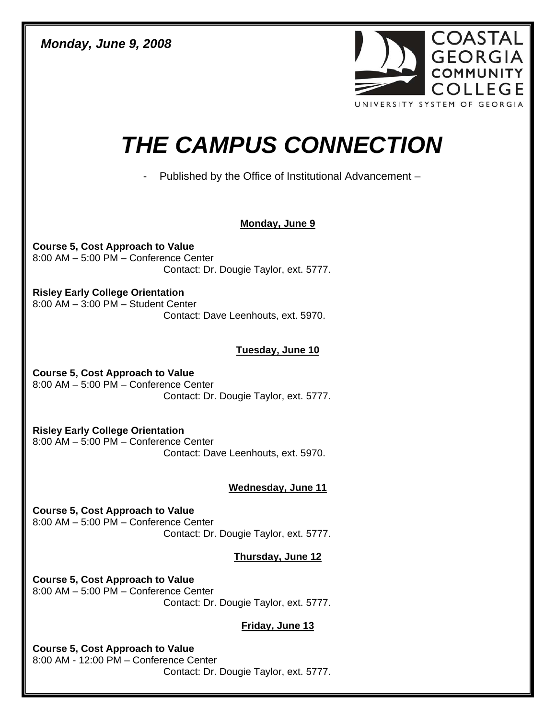*Monday, June 9, 2008* 



# *THE CAMPUS CONNECTION*

- Published by the Office of Institutional Advancement –

## **Monday, June 9**

**Course 5, Cost Approach to Value**  8:00 AM – 5:00 PM – Conference Center Contact: Dr. Dougie Taylor, ext. 5777.

**Risley Early College Orientation**  8:00 AM – 3:00 PM – Student Center Contact: Dave Leenhouts, ext. 5970.

## **Tuesday, June 10**

**Course 5, Cost Approach to Value**  8:00 AM – 5:00 PM – Conference Center Contact: Dr. Dougie Taylor, ext. 5777.

**Risley Early College Orientation**  8:00 AM – 5:00 PM – Conference Center Contact: Dave Leenhouts, ext. 5970.

#### **Wednesday, June 11**

**Course 5, Cost Approach to Value**  8:00 AM – 5:00 PM – Conference Center Contact: Dr. Dougie Taylor, ext. 5777.

# **Thursday, June 12**

**Course 5, Cost Approach to Value**  8:00 AM – 5:00 PM – Conference Center Contact: Dr. Dougie Taylor, ext. 5777.

#### **Friday, June 13**

**Course 5, Cost Approach to Value**  8:00 AM - 12:00 PM – Conference Center Contact: Dr. Dougie Taylor, ext. 5777.